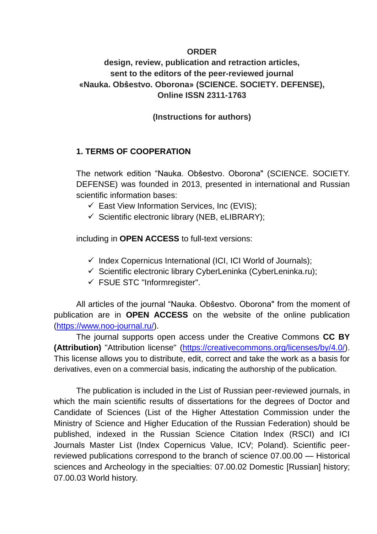### **ORDER**

# **design, review, publication and retraction articles, sent to the editors of the peer-reviewed journal «Nauka. Obŝestvo. Oborona» (SCIENCE. SOCIETY. DEFENSE), Online ISSN 2311-1763**

## **(Instructions for authors)**

## **1. TERMS OF COOPERATION**

The network edition "Nauka. Obŝestvo. Oborona" (SCIENCE. SOCIETY. DEFENSE) was founded in 2013, presented in international and Russian scientific information bases:

- $\checkmark$  East View Information Services, Inc (EVIS);
- $\checkmark$  Scientific electronic library (NEB, eLIBRARY);

including in **OPEN ACCESS** to full-text versions:

- $\checkmark$  Index Copernicus International (ICI, ICI World of Journals);
- $\checkmark$  Scientific electronic library CyberLeninka (CyberLeninka.ru);
- $\checkmark$  FSUE STC "Informregister".

All articles of the journal "Nauka. Obŝestvo. Oborona" from the moment of publication are in **OPEN ACCESS** on the website of the online publication [\(https://www.noo-journal.ru/\)](https://www.noo-journal.ru/).

The journal supports open access under the Creative Commons **CC BY (Attribution)** "Attribution license" [\(https://creativecommons.org/licenses/by/4.0/\)](https://creativecommons.org/licenses/by/4.0/). This license allows you to distribute, edit, correct and take the work as a basis for derivatives, even on a commercial basis, indicating the authorship of the publication.

The publication is included in the List of Russian peer-reviewed journals, in which the main scientific results of dissertations for the degrees of Doctor and Candidate of Sciences (List of the Higher Attestation Commission under the Ministry of Science and Higher Education of the Russian Federation) should be published, indexed in the Russian Science Citation Index (RSCI) and ICI Journals Master List (Index Copernicus Value, ICV; Poland). Scientific peerreviewed publications correspond to the branch of science 07.00.00 — Historical sciences and Archeology in the specialties: 07.00.02 Domestic [Russian] history; 07.00.03 World history.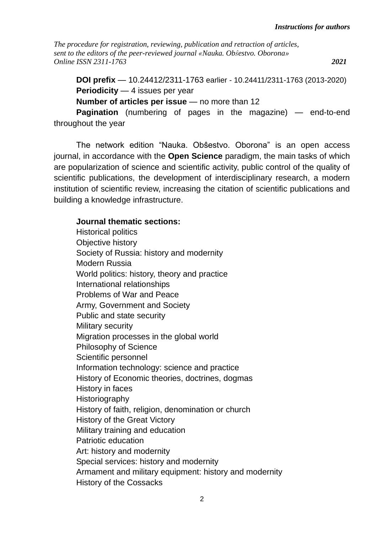**DOI prefix** — 10.24412/2311-1763 earlier - 10.24411/2311-1763 (2013-2020) **Periodicity** — 4 issues per year **Number of articles per issue** — no more than 12

**Pagination** (numbering of pages in the magazine) — end-to-end throughout the year

The network edition "Nauka. Obŝestvo. Oborona" is an open access journal, in accordance with the **Open Science** paradigm, the main tasks of which are popularization of science and scientific activity, public control of the quality of scientific publications, the development of interdisciplinary research, a modern institution of scientific review, increasing the citation of scientific publications and building a knowledge infrastructure.

### **Journal thematic sections:**

Historical politics Objective history Society of Russia: history and modernity Modern Russia World politics: history, theory and practice International relationships Problems of War and Peace Army, Government and Society Public and state security Military security Migration processes in the global world Philosophy of Science Scientific personnel Information technology: science and practice History of Economic theories, doctrines, dogmas History in faces **Historiography** History of faith, religion, denomination or church History of the Great Victory Military training and education Patriotic education Art: history and modernity Special services: history and modernity Armament and military equipment: history and modernity History of the Cossacks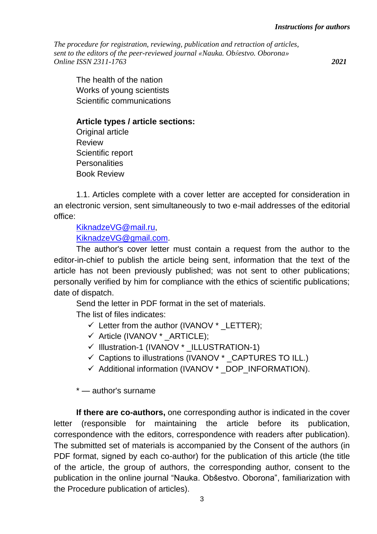The health of the nation Works of young scientists Scientific communications

**Article types / article sections:**

Original article **Review** Scientific report **Personalities** Book Review

1.1. Articles complete with a cover letter are accepted for consideration in an electronic version, sent simultaneously to two e-mail addresses of the editorial office:

[KiknadzeVG@mail.ru,](mailto:KiknadzeVG@mail.ru)

[KiknadzeVG@gmail.com.](mailto:KiknadzeVG@gmail.com)

The author's cover letter must contain a request from the author to the editor-in-chief to publish the article being sent, information that the text of the article has not been previously published; was not sent to other publications; personally verified by him for compliance with the ethics of scientific publications; date of dispatch.

Send the letter in PDF format in the set of materials.

The list of files indicates:

- $\checkmark$  Letter from the author (IVANOV  $*$  LETTER);
- $\checkmark$  Article (IVANOV \* ARTICLE);
- √ Illustration-1 (IVANOV \* ILLUSTRATION-1)
- $\checkmark$  Captions to illustrations (IVANOV  $*$  CAPTURES TO ILL.)
- $\checkmark$  Additional information (IVANOV  $*$  DOP INFORMATION).

\* — author's surname

**If there are co-authors,** one corresponding author is indicated in the cover letter (responsible for maintaining the article before its publication, correspondence with the editors, correspondence with readers after publication). The submitted set of materials is accompanied by the Consent of the authors (in PDF format, signed by each co-author) for the publication of this article (the title of the article, the group of authors, the corresponding author, consent to the publication in the online journal "Nauka. Obŝestvo. Oborona", familiarization with the Procedure publication of articles).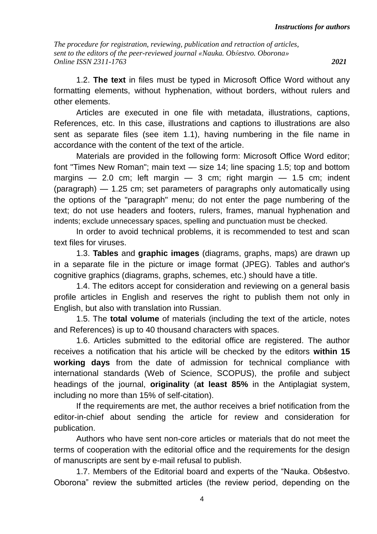1.2. **The text** in files must be typed in Microsoft Office Word without any formatting elements, without hyphenation, without borders, without rulers and other elements.

Articles are executed in one file with metadata, illustrations, captions, References, etc. In this case, illustrations and captions to illustrations are also sent as separate files (see item 1.1), having numbering in the file name in accordance with the content of the text of the article.

Materials are provided in the following form: Microsoft Office Word editor; font "Times New Roman"; main text — size 14; line spacing 1.5; top and bottom margins  $-$  2.0 cm; left margin  $-$  3 cm; right margin  $-$  1.5 cm; indent (paragraph) — 1.25 cm; set parameters of paragraphs only automatically using the options of the "paragraph" menu; do not enter the page numbering of the text; do not use headers and footers, rulers, frames, manual hyphenation and indents; exclude unnecessary spaces, spelling and punctuation must be checked.

In order to avoid technical problems, it is recommended to test and scan text files for viruses.

1.3. **Tables** and **graphic images** (diagrams, graphs, maps) are drawn up in a separate file in the picture or image format (JPEG). Tables and author's cognitive graphics (diagrams, graphs, schemes, etc.) should have a title.

1.4. The editors accept for consideration and reviewing on a general basis profile articles in English and reserves the right to publish them not only in English, but also with translation into Russian.

1.5. The **total volume** of materials (including the text of the article, notes and References) is up to 40 thousand characters with spaces.

1.6. Articles submitted to the editorial office are registered. The author receives a notification that his article will be checked by the editors **within 15 working days** from the date of admission for technical compliance with international standards (Web of Science, SCOPUS), the profile and subject headings of the journal, **originality** (**at least 85%** in the Antiplagiat system, including no more than 15% of self-citation).

If the requirements are met, the author receives a brief notification from the editor-in-chief about sending the article for review and consideration for publication.

Authors who have sent non-core articles or materials that do not meet the terms of cooperation with the editorial office and the requirements for the design of manuscripts are sent by e-mail refusal to publish.

1.7. Members of the Editorial board and experts of the "Nauka. Obŝestvo. Oborona" review the submitted articles (the review period, depending on the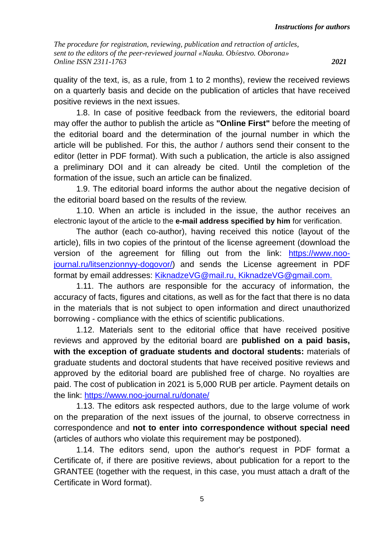quality of the text, is, as a rule, from 1 to 2 months), review the received reviews on a quarterly basis and decide on the publication of articles that have received positive reviews in the next issues.

1.8. In case of positive feedback from the reviewers, the editorial board may offer the author to publish the article as **"Online First"** before the meeting of the editorial board and the determination of the journal number in which the article will be published. For this, the author / authors send their consent to the editor (letter in PDF format). With such a publication, the article is also assigned a preliminary DOI and it can already be cited. Until the completion of the formation of the issue, such an article can be finalized.

1.9. The editorial board informs the author about the negative decision of the editorial board based on the results of the review.

1.10. When an article is included in the issue, the author receives an electronic layout of the article to the **e-mail address specified by him** for verification.

The author (each co-author), having received this notice (layout of the article), fills in two copies of the printout of the license agreement (download the version of the agreement for filling out from the link: [https://www.noo](https://www.noo-journal.ru/litsenzionnyy-dogovor/)[journal.ru/litsenzionnyy-dogovor/\)](https://www.noo-journal.ru/litsenzionnyy-dogovor/) and sends the License agreement in PDF format by email addresses: KiknadzeVG@mail.ru, KiknadzeVG@gmail.com.

1.11. The authors are responsible for the accuracy of information, the accuracy of facts, figures and citations, as well as for the fact that there is no data in the materials that is not subject to open information and direct unauthorized borrowing - compliance with the ethics of scientific publications.

1.12. Materials sent to the editorial office that have received positive reviews and approved by the editorial board are **published on a paid basis, with the exception of graduate students and doctoral students:** materials of graduate students and doctoral students that have received positive reviews and approved by the editorial board are published free of charge. No royalties are paid. The cost of publication in 2021 is 5,000 RUB per article. Payment details on the link: <https://www.noo-journal.ru/donate/>

1.13. The editors ask respected authors, due to the large volume of work on the preparation of the next issues of the journal, to observe correctness in correspondence and **not to enter into correspondence without special need** (articles of authors who violate this requirement may be postponed).

1.14. The editors send, upon the author's request in PDF format a Certificate of, if there are positive reviews, about publication for a report to the GRANTEE (together with the request, in this case, you must attach a draft of the Certificate in Word format).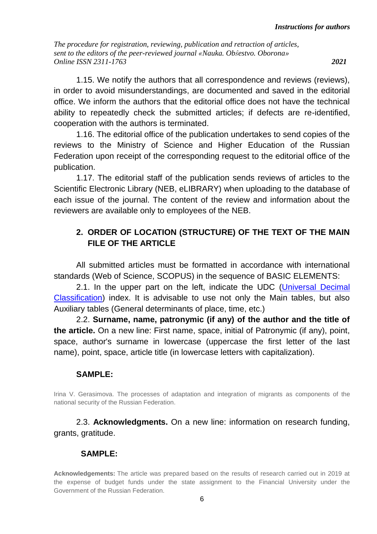1.15. We notify the authors that all correspondence and reviews (reviews), in order to avoid misunderstandings, are documented and saved in the editorial office. We inform the authors that the editorial office does not have the technical ability to repeatedly check the submitted articles; if defects are re-identified, cooperation with the authors is terminated.

1.16. The editorial office of the publication undertakes to send copies of the reviews to the Ministry of Science and Higher Education of the Russian Federation upon receipt of the corresponding request to the editorial office of the publication.

1.17. The editorial staff of the publication sends reviews of articles to the Scientific Electronic Library (NEB, eLIBRARY) when uploading to the database of each issue of the journal. The content of the review and information about the reviewers are available only to employees of the NEB.

# **2. ORDER OF LOCATION (STRUCTURE) OF THE TEXT OF THE MAIN FILE OF THE ARTICLE**

All submitted articles must be formatted in accordance with international standards (Web of Science, SCOPUS) in the sequence of BASIC ELEMENTS:

2.1. In the upper part on the left, indicate the UDC [\(Universal](http://www.udcsummary.info/php/index.php?lang=ru) Decimal [Classification\)](http://www.udcsummary.info/php/index.php?lang=ru) index. It is advisable to use not only the Main tables, but also Auxiliary tables (General determinants of place, time, etc.)

2.2. **Surname, name, patronymic (if any) of the author and the title of the article.** On a new line: First name, space, initial of Patronymic (if any), point, space, author's surname in lowercase (uppercase the first letter of the last name), point, space, article title (in lowercase letters with capitalization).

## **SAMPLE:**

Irina V. Gerasimova. The processes of adaptation and integration of migrants as components of the national security of the Russian Federation.

2.3. **Acknowledgments.** On a new line: information on research funding, grants, gratitude.

## **SAMPLE:**

**Acknowledgements:** The article was prepared based on the results of research carried out in 2019 at the expense of budget funds under the state assignment to the Financial University under the Government of the Russian Federation.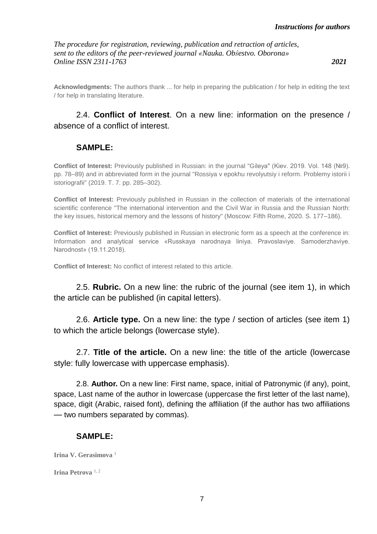**Acknowledgments:** The authors thank ... for help in preparing the publication / for help in editing the text / for help in translating literature.

## 2.4. **Conflict of Interest**. On a new line: information on the presence / absence of a conflict of interest.

### **SAMPLE:**

**Conflict of Interest:** Previously published in Russian: in the journal "Gіleya" (Kiev. 2019. Vol. 148 (№9). pp. 78–89) and in abbreviated form in the journal "Rossiya v epokhu revolyutsiy i reform. Problemy istorii i istoriografii" (2019. T. 7. pp. 285–302).

**Conflict of Interest:** Previously published in Russian in the collection of materials of the international scientific conference "The international intervention and the Civil War in Russia and the Russian North: the key issues, historical memory and the lessons of history" (Moscow: Fifth Rome, 2020. S. 177–186).

**Conflict of Interest:** Previously published in Russian in electronic form as a speech at the conference in: Information and analytical service «Russkaya narodnaya liniya. Pravoslaviye. Samoderzhaviye. Narodnost» (19.11.2018).

**Conflict of Interest:** No conflict of interest related to this article.

2.5. **Rubric.** On a new line: the rubric of the journal (see item 1), in which the article can be published (in capital letters).

2.6. **Article type.** On a new line: the type / section of articles (see item 1) to which the article belongs (lowercase style).

2.7. **Title of the article.** On a new line: the title of the article (lowercase style: fully lowercase with uppercase emphasis).

2.8. **Author.** On a new line: First name, space, initial of Patronymic (if any), point, space, Last name of the author in lowercase (uppercase the first letter of the last name), space, digit (Arabic, raised font), defining the affiliation (if the author has two affiliations — two numbers separated by commas).

### **SAMPLE:**

**Irina V. Gerasimova** <sup>1</sup>

**Irina Petrova** 1, 2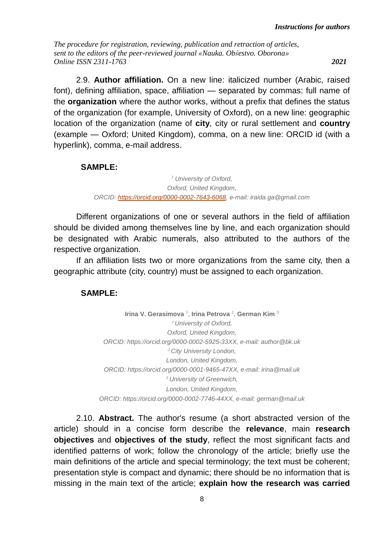2.9. **Author affiliation.** On a new line: italicized number (Arabic, raised font), defining affiliation, space, affiliation — separated by commas: full name of the **organization** where the author works, without a prefix that defines the status of the organization (for example, University of Oxford), on a new line: geographic location of the organization (name of **city**, city or rural settlement and **country** (example — Oxford; United Kingdom), comma, on a new line: ORCID id (with a hyperlink), comma, e-mail address.

### **SAMPLE:**

*<sup>1</sup> University of Oxford, Oxford, United Kingdom, ORCID: [https://orcid.org/0000-0002-7643-6068,](https://orcid.org/0000-0002-7643-6068) е-mail: iraida.ga@gmail.com*

Different organizations of one or several authors in the field of affiliation should be divided among themselves line by line, and each organization should be designated with Arabic numerals, also attributed to the authors of the respective organization.

If an affiliation lists two or more organizations from the same city, then a geographic attribute (city, country) must be assigned to each organization.

## **SAMPLE:**

**Irina V. Gerasimova** <sup>1</sup>, **Irina Petrova** <sup>2</sup>, **German Kim** <sup>3</sup> *<sup>1</sup> University of Oxford, Oxford, United Kingdom, ORCID: https://orcid.org/0000-0002-5925-33XX, e-mail: author@bk.uk <sup>2</sup> City University London, London, United Kingdom, ORCID: https://orcid.org/0000-0001-9465-47XX, e-mail: irina@mail.uk <sup>3</sup> University of Greenwich, London, United Kingdom, ORCID: https://orcid.org/0000-0002-7746-44XX, e-mail: german@mail.uk*

2.10. **Abstract.** The author's resume (a short abstracted version of the article) should in a concise form describe the **relevance**, main **research objectives** and **objectives of the study**, reflect the most significant facts and identified patterns of work; follow the chronology of the article; briefly use the main definitions of the article and special terminology; the text must be coherent; presentation style is compact and dynamic; there should be no information that is missing in the main text of the article; **explain how the research was carried**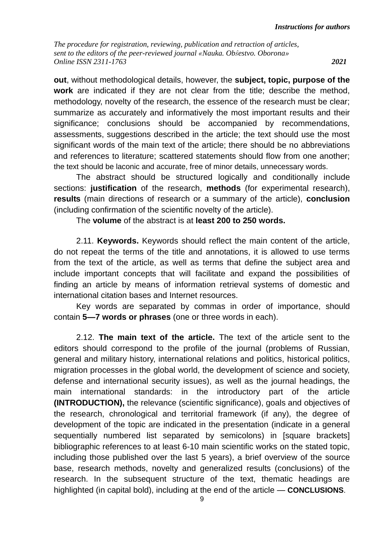**out**, without methodological details, however, the **subject, topic, purpose of the work** are indicated if they are not clear from the title; describe the method, methodology, novelty of the research, the essence of the research must be clear; summarize as accurately and informatively the most important results and their significance; conclusions should be accompanied by recommendations, assessments, suggestions described in the article; the text should use the most significant words of the main text of the article; there should be no abbreviations and references to literature; scattered statements should flow from one another; the text should be laconic and accurate, free of minor details, unnecessary words.

The abstract should be structured logically and conditionally include sections: **justification** of the research, **methods** (for experimental research), **results** (main directions of research or a summary of the article), **conclusion** (including confirmation of the scientific novelty of the article).

The **volume** of the abstract is at **least 200 to 250 words.**

2.11. **Keywords.** Keywords should reflect the main content of the article, do not repeat the terms of the title and annotations, it is allowed to use terms from the text of the article, as well as terms that define the subject area and include important concepts that will facilitate and expand the possibilities of finding an article by means of information retrieval systems of domestic and international citation bases and Internet resources.

Key words are separated by commas in order of importance, should contain **5—7 words or phrases** (one or three words in each).

2.12. **The main text of the article.** The text of the article sent to the editors should correspond to the profile of the journal (problems of Russian, general and military history, international relations and politics, historical politics, migration processes in the global world, the development of science and society, defense and international security issues), as well as the journal headings, the main international standards: in the introductory part of the article **(INTRODUCTION),** the relevance (scientific significance), goals and objectives of the research, chronological and territorial framework (if any), the degree of development of the topic are indicated in the presentation (indicate in a general sequentially numbered list separated by semicolons) in [square brackets] bibliographic references to at least 6-10 main scientific works on the stated topic, including those published over the last 5 years), a brief overview of the source base, research methods, novelty and generalized results (conclusions) of the research. In the subsequent structure of the text, thematic headings are highlighted (in capital bold), including at the end of the article — **CONCLUSIONS**.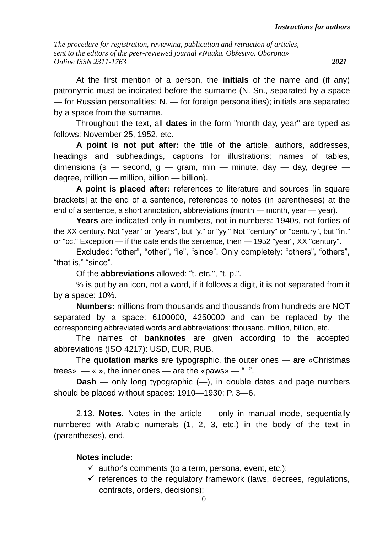At the first mention of a person, the **initials** of the name and (if any) patronymic must be indicated before the surname (N. Sn., separated by a space — for Russian personalities; N. — for foreign personalities); initials are separated by a space from the surname.

Throughout the text, all **dates** in the form "month day, year" are typed as follows: November 25, 1952, etc.

**A point is not put after:** the title of the article, authors, addresses, headings and subheadings, captions for illustrations; names of tables, dimensions (s – second,  $q - qram$ , min – minute, day – day, degree – degree, million — million, billion — billion).

**A point is placed after:** references to literature and sources [in square brackets] at the end of a sentence, references to notes (in parentheses) at the end of a sentence, a short annotation, abbreviations (month — month, year — year).

**Years** are indicated only in numbers, not in numbers: 1940s, not forties of the XX century. Not "year" or "years", but "y." or "yy." Not "century" or "century", but "in." or "cc." Exception — if the date ends the sentence, then — 1952 "year", XX "century".

Excluded: "other", "other", "ie", "since". Only completely: "others", "others", "that is," "since".

Of the **abbreviations** allowed: "t. etc.", "t. p.".

% is put by an icon, not a word, if it follows a digit, it is not separated from it by a space: 10%.

**Numbers:** millions from thousands and thousands from hundreds are NOT separated by a space: 6100000, 4250000 and can be replaced by the corresponding abbreviated words and abbreviations: thousand, million, billion, etc.

The names of **banknotes** are given according to the accepted abbreviations (ISO 4217): USD, EUR, RUB.

The **quotation marks** are typographic, the outer ones — are «Christmas trees»  $-\infty$ , the inner ones — are the «paws» — "".

**Dash** — only long typographic (—), in double dates and page numbers should be placed without spaces: 1910—1930; P. 3—6.

2.13. **Notes.** Notes in the article — only in manual mode, sequentially numbered with Arabic numerals (1, 2, 3, etc.) in the body of the text in (parentheses), end.

## **Notes include:**

- $\checkmark$  author's comments (to a term, persona, event, etc.);
- $\checkmark$  references to the regulatory framework (laws, decrees, regulations, contracts, orders, decisions);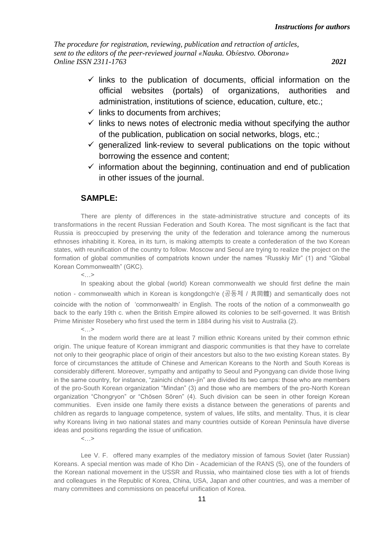- $\checkmark$  links to the publication of documents, official information on the official websites (portals) of organizations, authorities and administration, institutions of science, education, culture, etc.;
- $\checkmark$  links to documents from archives;
- $\checkmark$  links to news notes of electronic media without specifying the author of the publication, publication on social networks, blogs, etc.;
- $\checkmark$  generalized link-review to several publications on the topic without borrowing the essence and content;
- $\checkmark$  information about the beginning, continuation and end of publication in other issues of the journal.

### **SAMPLE:**

There are plenty of differences in the state-administrative structure and concepts of its transformations in the recent Russian Federation and South Korea. The most significant is the fact that Russia is preoccupied by preserving the unity of the federation and tolerance among the numerous ethnoses inhabiting it. Korea, in its turn, is making attempts to create a confederation of the two Korean states, with reunification of the country to follow. Moscow and Seoul are trying to realize the project on the formation of global communities of compatriots known under the names "Russkiy Mir" (1) and "Global Korean Commonwealth" (GKC).

 $<...>$ 

In speaking about the global (world) Korean commonwealth we should first define the main notion - commonwealth which in Korean is kongdongch'e (공동체 / 共同體) and semantically does not coincide with the notion of 'commonwealth' in English. The roots of the notion of a commonwealth go back to the early 19th c. when the British Empire allowed its colonies to be self-governed. It was British Prime Minister Rosebery who first used the term in 1884 during his visit to Australia (2).

 $<...>$ 

In the modern world there are at least 7 million ethnic Koreans united by their common ethnic origin. The unique feature of Korean immigrant and diasporic communities is that they have to correlate not only to their geographic place of origin of their ancestors but also to the two existing Korean states. By force of circumstances the attitude of Chinese and American Koreans to the North and South Koreas is considerably different. Moreover, sympathy and antipathy to Seoul and Pyongyang can divide those living in the same country, for instance, "zainichi chōsen-jin" are divided its two camps: those who are members of the pro-South Korean organization "Mindan" (3) and those who are members of the pro-North Korean organization "Chongryon" or "Chōsen Sōren" (4). Such division can be seen in other foreign Korean communities. Even inside one family there exists a distance between the generations of parents and children as regards to language competence, system of values, life stilts, and mentality. Thus, it is clear why Koreans living in two national states and many countries outside of Korean Peninsula have diverse ideas and positions regarding the issue of unification.

 $<...>$ 

Lee V. F. offered many examples of the mediatory mission of famous Soviet (later Russian) Koreans. A special mention was made of Kho Din - Academician of the RANS (5), one of the founders of the Korean national movement in the USSR and Russia, who maintained close ties with a lot of friends and colleagues in the Republic of Korea, China, USA, Japan and other countries, and was a member of many committees and commissions on peaceful unification of Korea.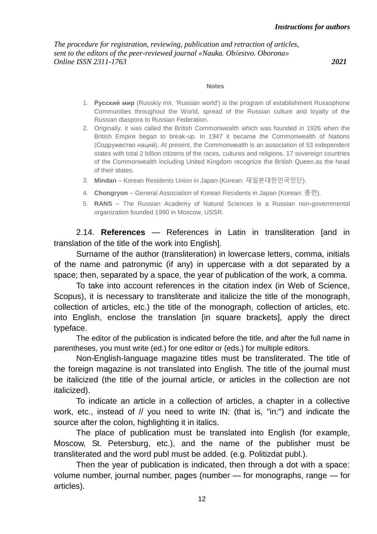#### **Notes**

- 1. **Русский мир** (Russkiy mir, 'Russian world') is the program of establishment Russophone Communities throughout the World, spread of the Russian culture and loyalty of the Russian diaspora to Russian Federation.
- 2. Originally, it was called the British Commonwealth which was founded in 1926 when the British Empire began to break-up. In 1947 it became the Commonwealth of Nations (Содружество наций). At present, the Commonwealth is an association of 53 independent states with total 2 billion citizens of the races, cultures and religions. 17 sovereign countries of the Commonwealth including United Kingdom recognize the British Queen.as the head of their states.
- 3. **Mindan** Korean Residents Union in Japan (Korean: 재일본대한민국민단).
- 4. **Chongryon** General Association of Korean Residents in Japan (Korean: 총련).
- 5. **RANS** The Russian Academy of Natural Sciences is a Russian non-governmental organization founded 1990 in Moscow, USSR.

2.14. **References** — References in Latin in transliteration [and in translation of the title of the work into English].

Surname of the author (transliteration) in lowercase letters, comma, initials of the name and patronymic (if any) in uppercase with a dot separated by a space; then, separated by a space, the year of publication of the work, a comma.

To take into account references in the citation index (in Web of Science, Scopus), it is necessary to transliterate and italicize the title of the monograph, collection of articles, etc.) the title of the monograph, collection of articles, etc. into English, enclose the translation [in square brackets], apply the direct typeface.

The editor of the publication is indicated before the title, and after the full name in parentheses, you must write (ed.) for one editor or (eds.) for multiple editors.

Non-English-language magazine titles must be transliterated. The title of the foreign magazine is not translated into English. The title of the journal must be italicized (the title of the journal article, or articles in the collection are not italicized).

To indicate an article in a collection of articles, a chapter in a collective work, etc., instead of // you need to write IN: (that is, "in:") and indicate the source after the colon, highlighting it in italics.

The place of publication must be translated into English (for example, Moscow, St. Petersburg, etc.), and the name of the publisher must be transliterated and the word publ must be added. (e.g. Politizdat publ.).

Then the year of publication is indicated, then through a dot with a space: volume number, journal number, pages (number — for monographs, range — for articles).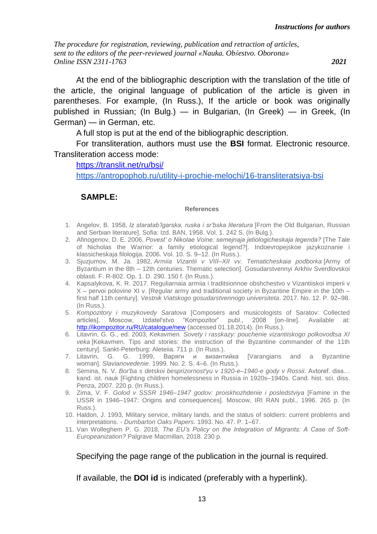At the end of the bibliographic description with the translation of the title of the article, the original language of publication of the article is given in parentheses. For example, (In Russ.), If the article or book was originally published in Russian; (In Bulg.) — in Bulgarian, (In Greek) — in Greek, (In German) — in German, etc.

A full stop is put at the end of the bibliographic description.

For transliteration, authors must use the **BSI** format. Electronic resource. Transliteration access mode:

<https://translit.net/ru/bsi/>

<https://antropophob.ru/utility-i-prochie-melochi/16-transliteratsiya-bsi>

### **SAMPLE:**

#### **References**

- 1. Angelov, B. 1958, *Iz staratab'lgarska, ruska i sr'bska literatura* [From the Old Bulgarian, Russian and Serbian literature]. Sofia: Izd. BAN, 1958. Vol. 1. 242 S. (In Bulg.).
- 2. Afinogenov, D. E. 2006, *Povest' o Nikolae Voine: semejnaja jetiologicheskaja legenda?* [The Tale of Nicholas the Warrior: a family etiological legend?]. Indoevropejskoe jazykoznanie i klassicheskaja filologija. 2006. Vol. 10. S. 9–12. (In Russ.).
- 3. Sjuzjumov, M. Ja. 1982, *Armiia Vizantii v VIII–XII vv. Tematicheskaia podborka* [Army of Byzantium in the 8th – 12th centuries. Thematic selection]. Gosudarstvennyi Arkhiv Sverdlovskoi oblasti. F. R-802. Op. 1. D. 290. 150 f. (In Russ.).
- 4. Kapsalykova, K. R. 2017. Reguliarnaia armiia i traditsionnoe obshchestvo v Vizantiiskoi imperii v X – pervoi polovine XI v. [Regular army and traditional society in Byzantine Empire in the 10th – first half 11th century]. *Vestnik Viatskogo gosudarstvennogo universiteta*. 2017. No. 12. P. 92–98. (In Russ.).
- 5. *Kompozitory i muzykovedy Saratova* [Composers and musicologists of Saratov: Collected articles]. Moscow, Izdatel'stvo "Kompozitor" publ., 2008 [on-line]. Available at: <http://ikompozitor.ru/RU/catalogue/new> (accessed 01.18.2014). (In Russ.).
- 6. Litavrin, G. G., ed. 2003, *Kekavmen. Sovety i rasskazy: pouchenie vizantiiskogo polkovodtsa XI veka* [Kekavmen. Tips and stories: the instruction of the Byzantine commander of the 11th century]. Sankt-Peterburg: Aleteiia. 711 p. (In Russ.).
- 7. Litavrin, G. G. 1999, Варяги и византийка [Varangians and a Byzantine woman]. *Slavianovedenie*. 1999. No. 2. S. 4–6. (In Russ.).
- 8. Semina, N. V. *Bor'ba s detskoi besprizornost'yu v 1920-e–1940-e gody v Rossii*. Avtoref. diss… kand. ist. nauk [Fighting children homelessness in Russia in 1920s–1940s. Cand. hist. sci. diss. Penza, 2007. 220 p. (In Russ.).
- 9. Zima, V. F. *Golod v SSSR 1946–1947 godov: proiskhozhdenie i posledstviya* [Famine in the USSR in 1946–1947: Origins and consequences]. Moscow, IRI RAN publ., 1996. 265 p. (In Russ.).
- 10. Haldon, J. 1993, Military service, military lands, and the status of soldiers: current problems and interpretations. - *Dumbarton Oaks Papers.* 1993. No. 47. P. 1–67.
- 11. Van Wolleghem P. G. 2018, *The EU's Policy on the Integration of Migrants: A Case of Soft-Europeanization?* Palgrave Macmillan, 2018. 230 p.

Specifying the page range of the publication in the journal is required.

If available, the **DOI id** is indicated (preferably with a hyperlink).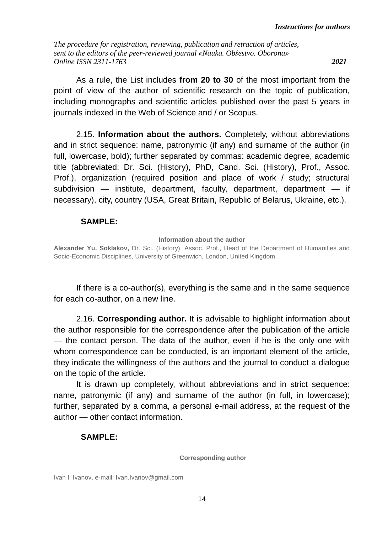As a rule, the List includes **from 20 to 30** of the most important from the point of view of the author of scientific research on the topic of publication, including monographs and scientific articles published over the past 5 years in journals indexed in the Web of Science and / or Scopus.

2.15. **Information about the authors.** Completely, without abbreviations and in strict sequence: name, patronymic (if any) and surname of the author (in full, lowercase, bold); further separated by commas: academic degree, academic title (abbreviated: Dr. Sci. (History), PhD, Cand. Sci. (History), Prof., Assoc. Prof.), organization (required position and place of work / study; structural subdivision — institute, department, faculty, department, department — if necessary), city, country (USA, Great Britain, Republic of Belarus, Ukraine, etc.).

### **SAMPLE:**

**Information about the author**

**Alexander Yu. Soklakov,** Dr. Sci. (History), Assoc. Prof., Head of the Department of Humanities and Socio-Economic Disciplines, University of Greenwich, London, United Kingdom.

If there is a co-author(s), everything is the same and in the same sequence for each co-author, on a new line.

2.16. **Corresponding author.** It is advisable to highlight information about the author responsible for the correspondence after the publication of the article — the contact person. The data of the author, even if he is the only one with whom correspondence can be conducted, is an important element of the article, they indicate the willingness of the authors and the journal to conduct a dialogue on the topic of the article.

It is drawn up completely, without abbreviations and in strict sequence: name, patronymic (if any) and surname of the author (in full, in lowercase); further, separated by a comma, a personal e-mail address, at the request of the author — other contact information.

## **SAMPLE:**

**Corresponding author**

Ivan I. Ivanov, e-mail: Ivan.Ivanov@gmail.com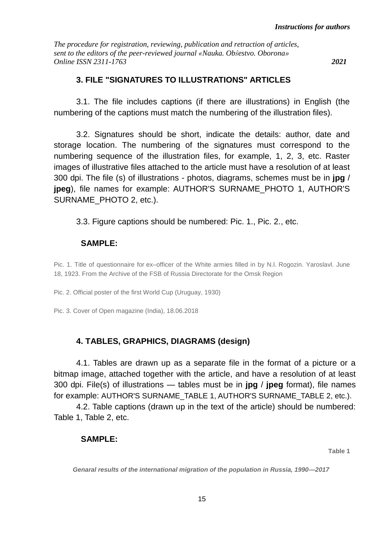## **3. FILE "SIGNATURES TO ILLUSTRATIONS" ARTICLES**

3.1. The file includes captions (if there are illustrations) in English (the numbering of the captions must match the numbering of the illustration files).

3.2. Signatures should be short, indicate the details: author, date and storage location. The numbering of the signatures must correspond to the numbering sequence of the illustration files, for example, 1, 2, 3, etc. Raster images of illustrative files attached to the article must have a resolution of at least 300 dpi. The file (s) of illustrations - photos, diagrams, schemes must be in **jpg** / **jpeg**), file names for example: AUTHOR'S SURNAME\_PHOTO 1, AUTHOR'S SURNAME\_PHOTO 2, etc.).

## 3.3. Figure captions should be numbered: Pic. 1., Pic. 2., etc.

### **SAMPLE:**

Pic. 1. Title of questionnaire for ex–officer of the White armies filled in by N.I. Rogozin. Yaroslavl. June 18, 1923. From the Archive of the FSB of Russia Directorate for the Omsk Region

Pic. 2. Official poster of the first World Cup (Uruguay, 1930)

Pic. 3. Cover of Open magazine (India), 18.06.2018

# **4. TABLES, GRAPHICS, DIAGRAMS (design)**

4.1. Tables are drawn up as a separate file in the format of a picture or a bitmap image, attached together with the article, and have a resolution of at least 300 dpi. File(s) of illustrations — tables must be in **jpg** / **jpeg** format), file names for example: AUTHOR'S SURNAME\_TABLE 1, AUTHOR'S SURNAME\_TABLE 2, etc.).

4.2. Table captions (drawn up in the text of the article) should be numbered: Table 1, Table 2, etc.

## **SAMPLE:**

**Table 1**

*Genaral results of the international migration of the population in Russia, 1990—2017*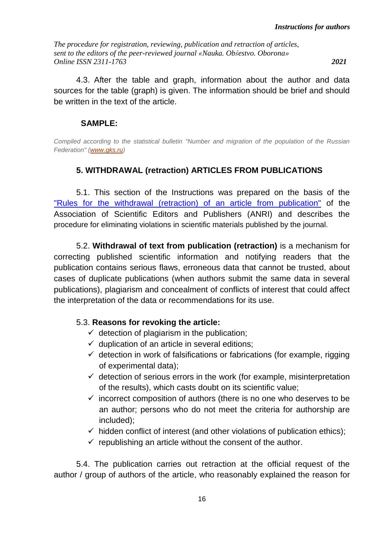4.3. After the table and graph, information about the author and data sources for the table (graph) is given. The information should be brief and should be written in the text of the article.

### **SAMPLE:**

*Compiled according to the statistical bulletin "Number and migration of the population of the Russian Federation" [\(www.gks.ru\)](http://www.gks.ru/)*

## **5. WITHDRAWAL (retraction) ARTICLES FROM PUBLICATIONS**

5.1. This section of the Instructions was prepared on the basis of the ["Rules for the withdrawal \(retraction\) of an article from publication"](https://rasep.ru/sovet-po-etike/pravilo-otzyva-retragirovaniya-stati-ot-publikatsii) of the Association of Scientific Editors and Publishers (ANRI) and describes the procedure for eliminating violations in scientific materials published by the journal.

5.2. **Withdrawal of text from publication (retraction)** is a mechanism for correcting published scientific information and notifying readers that the publication contains serious flaws, erroneous data that cannot be trusted, about cases of duplicate publications (when authors submit the same data in several publications), plagiarism and concealment of conflicts of interest that could affect the interpretation of the data or recommendations for its use.

## 5.3. **Reasons for revoking the article:**

- $\checkmark$  detection of plagiarism in the publication;
- $\checkmark$  duplication of an article in several editions;
- $\checkmark$  detection in work of falsifications or fabrications (for example, rigging of experimental data);
- $\checkmark$  detection of serious errors in the work (for example, misinterpretation of the results), which casts doubt on its scientific value;
- $\checkmark$  incorrect composition of authors (there is no one who deserves to be an author; persons who do not meet the criteria for authorship are included);
- $\checkmark$  hidden conflict of interest (and other violations of publication ethics);
- $\checkmark$  republishing an article without the consent of the author.

5.4. The publication carries out retraction at the official request of the author / group of authors of the article, who reasonably explained the reason for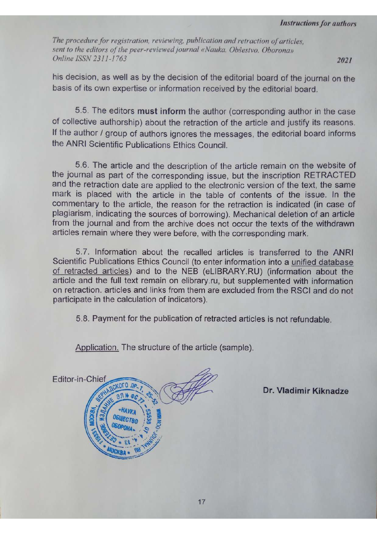2021

his decision, as well as by the decision of the editorial board of the journal on the basis of its own expertise or information received by the editorial board.

5.5. The editors must inform the author (corresponding author in the case of collective authorship) about the retraction of the article and justify its reasons. If the author / group of authors ignores the messages, the editorial board informs the ANRI Scientific Publications Ethics Council.

5.6. The article and the description of the article remain on the website of the journal as part of the corresponding issue, but the inscription RETRACTED and the retraction date are applied to the electronic version of the text, the same mark is placed with the article in the table of contents of the issue. In the commentary to the article, the reason for the retraction is indicated (in case of plagiarism, indicating the sources of borrowing). Mechanical deletion of an article from the journal and from the archive does not occur the texts of the withdrawn articles remain where they were before, with the corresponding mark.

5.7. Information about the recalled articles is transferred to the ANRI Scientific Publications Ethics Council (to enter information into a unified database of retracted articles) and to the NEB (eLIBRARY.RU) (information about the article and the full text remain on elibrary.ru, but supplemented with information on retraction. articles and links from them are excluded from the RSCI and do not participate in the calculation of indicators).

5.8. Payment for the publication of retracted articles is not refundable.

Application. The structure of the article (sample).

Editor-in-Chief KOTO *ne* 

Dr. Vladimir Kiknadze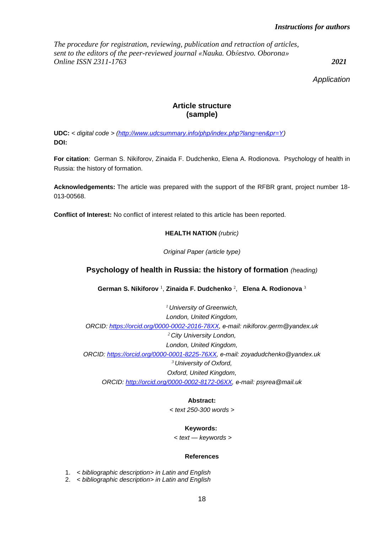#### *Instructions for authors*

*The procedure for registration, reviewing, publication and retraction of articles, sent to the editors of the peer-reviewed journal «Nauka. Obŝestvo. Oborona» Online ISSN 2311-1763 2021*

*Application*

#### **Article structure (sample)**

**UDC:** *< digital code > [\(http://www.udcsummary.info/php/index.php?lang=en&pr=Y\)](http://www.udcsummary.info/php/index.php?lang=en&pr=Y)* **DOI:**

**For citation**: German S. Nikiforov, Zinaida F. Dudchenko, Elena A. Rodionova. Psychology of health in Russia: the history of formation.

**Acknowledgements:** The article was prepared with the support of the RFBR grant, project number 18- 013-00568.

**Conflict of Interest:** No conflict of interest related to this article has been reported.

#### **HEALTH NATION** *(rubric)*

*Original Paper (article type)*

#### **Psychology of health in Russia: the history of formation** *(heading)*

**German S. Nikiforov** <sup>1</sup> , **Zinaida F. Dudchenko** <sup>2</sup> , **Еlena А. Rodionova** <sup>3</sup>

*<sup>1</sup> University of Greenwich, London, United Kingdom, ORCID: [https://orcid.org/0000-0002-2016-78XX,](https://orcid.org/0000-0002-2016-78XX) е-mail: nikiforov.germ@yandex.uk <sup>2</sup> City University London, London, United Kingdom, ORCID: [https://orcid.org/0000-0001-8225-76XX,](https://orcid.org/0000-0001-8225-76XX) е-mail: zoyadudchenko@yandex.uk <sup>3</sup> University of Oxford, Oxford, United Kingdom, ORCID: [http://orcid.org/0000-0002-8172-06XX,](http://orcid.org/0000-0002-8172-06XX) е-mail: psyrea@mail.uk*

#### **Abstract:**

*< text 250-300 words >*

#### **Keywords:**

*< text — keywords >*

#### **References**

1. *< bibliographic description> in Latin and English*

2. *< bibliographic description> in Latin and English*